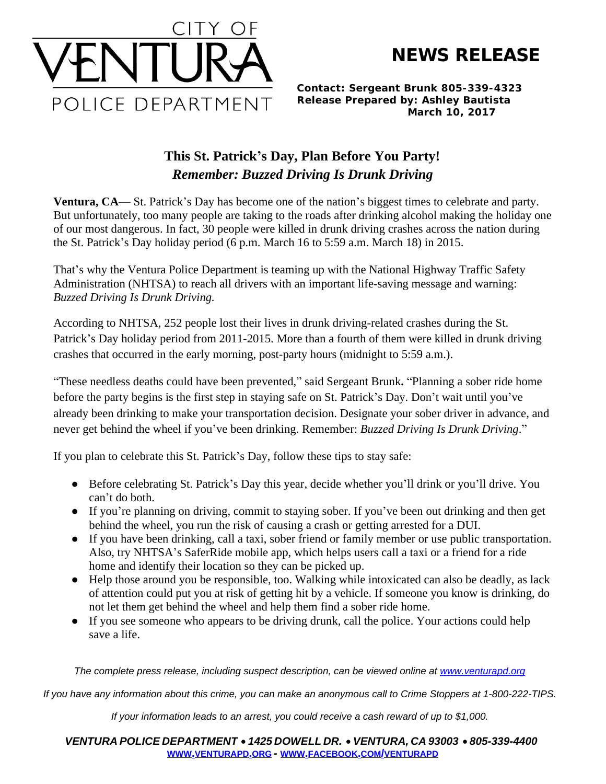**NEWS RELEASE**



*Contact: Sergeant Brunk 805-339-4323 Release Prepared by: Ashley Bautista March 10, 2017*

## **This St. Patrick's Day, Plan Before You Party!** *Remember: Buzzed Driving Is Drunk Driving*

**Ventura, CA**— St. Patrick's Day has become one of the nation's biggest times to celebrate and party. But unfortunately, too many people are taking to the roads after drinking alcohol making the holiday one of our most dangerous. In fact, 30 people were killed in drunk driving crashes across the nation during the St. Patrick's Day holiday period (6 p.m. March 16 to 5:59 a.m. March 18) in 2015.

That's why the Ventura Police Department is teaming up with the National Highway Traffic Safety Administration (NHTSA) to reach all drivers with an important life-saving message and warning: *Buzzed Driving Is Drunk Driving.*

According to NHTSA, 252 people lost their lives in drunk driving-related crashes during the St. Patrick's Day holiday period from 2011-2015. More than a fourth of them were killed in drunk driving crashes that occurred in the early morning, post-party hours (midnight to 5:59 a.m.).

"These needless deaths could have been prevented," said Sergeant Brunk**.** "Planning a sober ride home before the party begins is the first step in staying safe on St. Patrick's Day. Don't wait until you've already been drinking to make your transportation decision. Designate your sober driver in advance, and never get behind the wheel if you've been drinking. Remember: *Buzzed Driving Is Drunk Driving*."

If you plan to celebrate this St. Patrick's Day, follow these tips to stay safe:

- Before celebrating St. Patrick's Day this year, decide whether you'll drink or you'll drive. You can't do both.
- If you're planning on driving, commit to staying sober. If you've been out drinking and then get behind the wheel, you run the risk of causing a crash or getting arrested for a DUI.
- If you have been drinking, call a taxi, sober friend or family member or use public transportation. Also, try NHTSA's SaferRide mobile app, which helps users call a taxi or a friend for a ride home and identify their location so they can be picked up.
- Help those around you be responsible, too. Walking while intoxicated can also be deadly, as lack of attention could put you at risk of getting hit by a vehicle. If someone you know is drinking, do not let them get behind the wheel and help them find a sober ride home.
- If you see someone who appears to be driving drunk, call the police. Your actions could help save a life.

The complete press release, including suspect description, can be viewed online at [www.venturapd.org](http://www.venturapd.org)

*If you have any information about this crime, you can make an anonymous call to Crime Stoppers at 1-800-222-TIPS.*

*If your information leads to an arrest, you could receive a cash reward of up to \$1,000.*

*VENTURA POLICE DEPARTMENT* · *1425 DOWELL DR.* · *VENTURA, CA 93003* · *805-339-4400* **WWW.[VENTURAPD](http://www.venturapd.org).ORG** *-* **WWW.FACEBOOK.COM/[VENTURAPD](http://www.facebook.com/venturapd)**